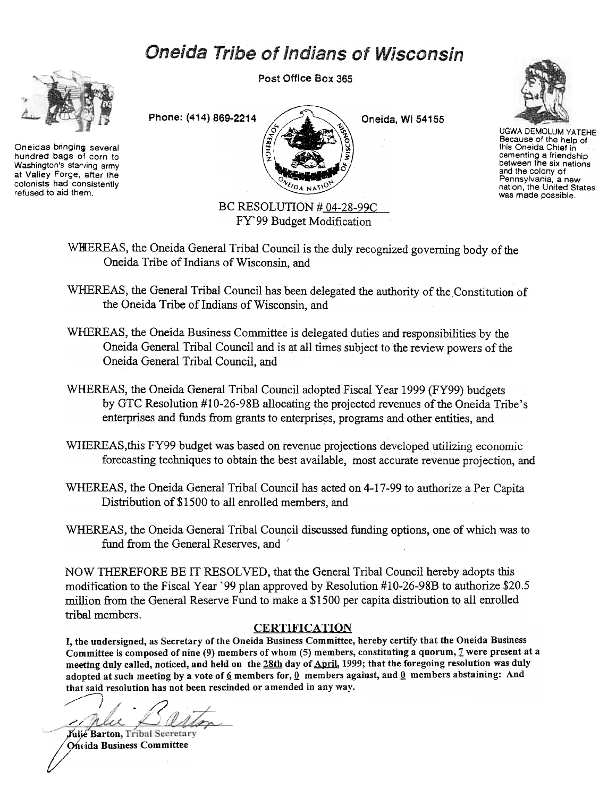# **Oneida Tribe of Indians of Wisconsin**



Oneidas bringing several hundred bags of corn to Washington's starving army at Valley Forge. after the colonists had consistently refused to aid them.

Post Office Box 365



FY' 99 Budget Modification

Oneida, Wi 54155



UGWA DEMOLUM YATEHE Because of the help of this Oneida Chief in cementing a friendsh between the six nation and the colony of Pennsylvania. a new nation, the United States was made possible.

- WmEREAS, the Oneida General Tribal Council is the duly recognized governing body of the Oneida Tribe or Indians of Wisconsin, and
- WHEREAS, the General Tribal Council has been delegated the authority of the Constitution of the Oneida Tribe of Indians of Wisconsin, and
- WHEREAS, the Oneida Business Committee is delegated duties and responsibilities by the Oneida General Tribal Council and is at all times subject to the review powers of the Oneida General Tribal Council, and
- WHEREAS, the Oneida General Tribal Council adopted Fiscal Year 1999 (FY99) budgets by GTC Resolution #10-26-98B allocating the projected revenues of the Oneida Tribe's enterprises and funds from grants to enterprises, programs and other entities, and
- WHEREAS, this FY99 budget was based on revenue projections developed utilizing economic forecasting techniques to obtain the best available, most accurate revenue projection, and
- WHEREAS, the Oneida General Tribal Council has acted on 4-17 -99 to authorize a Per Capita Distribution of \$1500 to all enrolled members, and
- WHEREAS, the Oneida General Tribal Council discussed funding options, one of which was to fund from the General Reserves, and

NOW THEREFORE BE IT RESOLVED, that the General Tribal Council hereby adopts this modification to the Fiscal Year '99 plan approved by Resolution #10-26-98B to authorize \$20.5 million from the General Reserve Fund to make a \$1500 per capita distribution to all enrolled tribal members.

## CERTIFICATION

I, the undersigned, as Secretary of the Oneida Business Committee, hereby certify that the Oneida Business Committee is composed of nine (9) members of whom  $(5)$  members, constituting a quorum,  $\mathcal I$  were present at a meeting duly called, noticed, and held on the 28th day of April, 1999; that the foregoing resolution was duly adopted at such meeting by a vote of  $\underline{6}$  members for,  $\underline{0}$  members against, and  $\underline{0}$  members abstaining: And that said resolution has not been rescinded or amended in any way.

 $/$  s  $/$ // *Yulié Barton, Tribal Secretary* 

Oneida Business Committee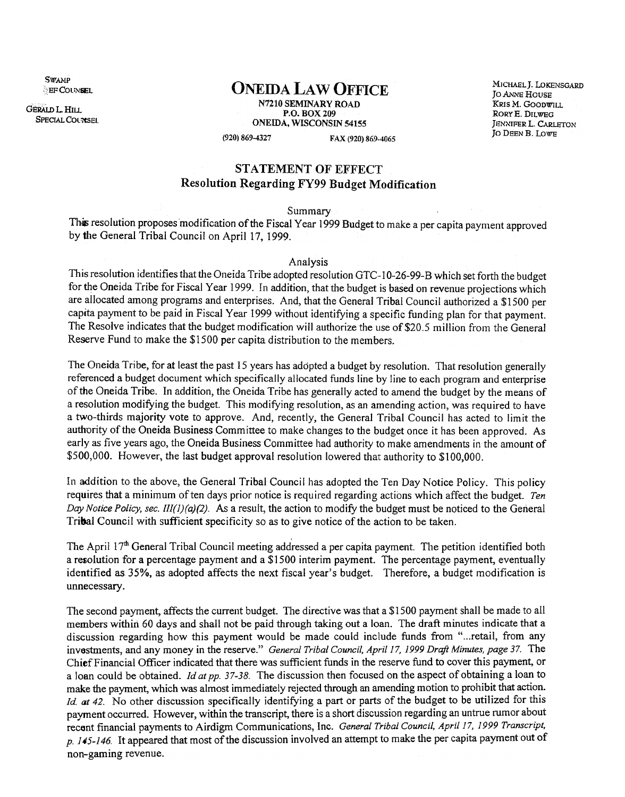**SWAMP** 

**GERALD L. HILL.** SPECIAL COUNSEL

## $\rm{ONEDA}\ LAW\ OFFICE}$  to the data function. LOKENSGARD

N7210 SEMINARY ROAD P.O. BOX 209 ONEIDA, WISCONSIN 54155

(920) 869-4327 FAX (920) 869-4065

**JO ANNE HOUSE** KRIS M. GOODWILL RORY E. DILWEG JENNIFER L. CARLETON JO DEEN B. LOWE

## STATEMENT OF EFFECT Resolution Regarding FY99 Budget Modification

#### Summary

This resolution proposes modification of the Fiscal Year 1999 Budget to make a per capita payment approved by the General Tribal Council on April 17, 1999.

#### Analysis

This resolution identifies that the Oneida Tribe adopted resolution GTC-10-26-99-B which set forth the budget for the Oneida Tribe for Fiscal Year 1999. In addition, that the budget is based on revenue projections which are allocated among programs and enterprises. And, that the General Tribal Council authorized a \$1500 per capita payment to be paid in Fiscal Year 1999 without identifying a specific funding plan for that payment. The Resolve indicates that the budget modification will authorize the use of \$20.5 million from the General Reserve Fund to make the \$1500 per capita distribution to the members.

The Oneida Tribe, for at least the past 15 years has adopted a budget by resolution. That resolution generally referenced a budget document which specifically allocated funds line by line to each program and enterprise of the Oneida Tribe. In addition, the Oneida Tribe has generally acted to amend the budget by the means of a resolution modifying the budget. This modifying resolution, as an amending action, was required to have a two-thirds majority vote to approve. And, recently, the General Tribal Council has acted to limit the authority of the Oneida Business Committee to make changes to the budget once it has been approved. As early as five years ago, the Oneida Business Committee had authority to make amendments in the amount of  $$500,000$ . However, the last budget approval resolution lowered that authority to  $$100,000$ .

In addition to the above, the General Tribal Council has adopted the Ten Day Notice Policy. This policy requires that a minimum of ten days prior notice is required regarding actions which affect the budget. Ten Day Notice Policy, sec. III(1)( $a$ )(2). As a result, the action to modify the budget must be noticed to the General Tribal Council with sufficient specificity so as to give notice of the action to be taken.

The April  $17<sup>th</sup>$  General Tribal Council meeting addressed a per capita payment. The petition identified both a resolution for a percentage payment and a \$1500 interim payment. The percentage payment, eventually identified as 35%, as adopted affects the next fiscal year's budget. Therefore, a budget modification is unnecessary.

The second payment, affects the current budget. The directive was that a \$1500 payment shall be made to all members within 60 days and shall not be paid through taking out a loan. The draft minutes indicate that a discussion regarding how this payment would be made could include funds from "...retail, from any investments, and any money in the reserve." General Tribal Council, April 17, 1999 Draft Minutes, page 37. The Chief Financial Officer indicated that there was sufficient funds in the reserve fund to cover this payment, or a loan could be obtained. Id at pp. 37-38. The discussion then focused on the aspect of obtaining a loan to make the payment, which was almost immediately rejected through an amending motion to prohibit that action. Id. at 42. No other discussion specifically identifying a part or parts of the budget to be utilized for this payment occurred. However, within the transcript, there is a short discussion regarding an untrue rumor about recent financial payments to Airdigm Communications, Inc. General Tribal Council, April 17, 1999 Transcript, p. 145-146. It appeared that most of the discussion involved an attempt to make the per capita payment out of non-gaming revenue.